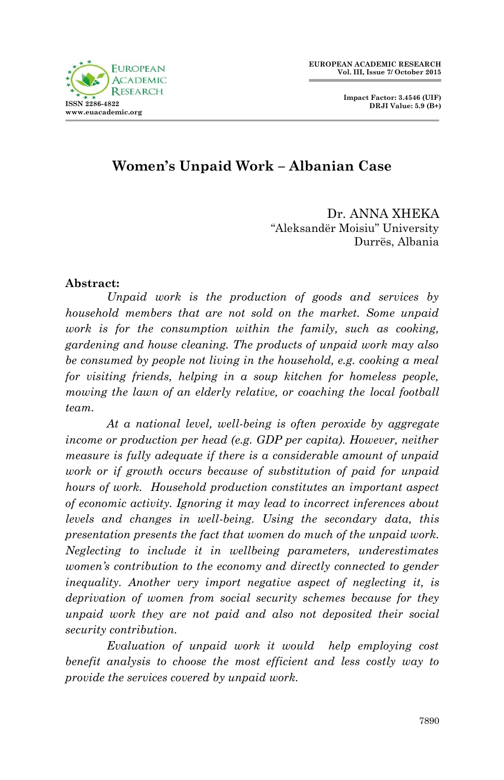

# **Women's Unpaid Work – Albanian Case**

Dr. ANNA XHEKA "Aleksandër Moisiu" University Durrës, Albania

#### **Abstract:**

*Unpaid work is the production of goods and services by household members that are not sold on the market. Some unpaid work is for the consumption within the family, such as cooking, gardening and house cleaning. The products of unpaid work may also be consumed by people not living in the household, e.g. cooking a meal for visiting friends, helping in a soup kitchen for homeless people, mowing the lawn of an elderly relative, or coaching the local football team.*

*At a national level, well-being is often peroxide by aggregate income or production per head (e.g. GDP per capita). However, neither measure is fully adequate if there is a considerable amount of unpaid work or if growth occurs because of substitution of paid for unpaid hours of work. Household production constitutes an important aspect of economic activity. Ignoring it may lead to incorrect inferences about levels and changes in well-being. Using the secondary data, this presentation presents the fact that women do much of the unpaid work. Neglecting to include it in wellbeing parameters, underestimates women's contribution to the economy and directly connected to gender inequality. Another very import negative aspect of neglecting it, is deprivation of women from social security schemes because for they unpaid work they are not paid and also not deposited their social security contribution.*

*Evaluation of unpaid work it would help employing cost benefit analysis to choose the most efficient and less costly way to provide the services covered by unpaid work.*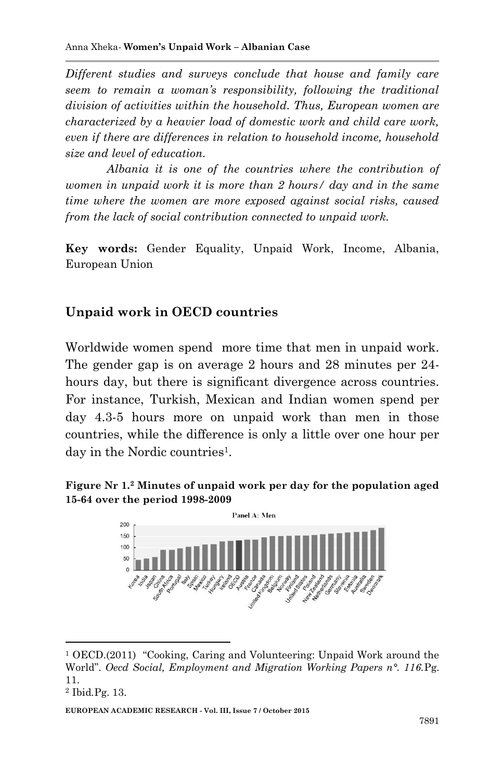*Different studies and surveys conclude that house and family care seem to remain a woman's responsibility, following the traditional division of activities within the household. Thus, European women are characterized by a heavier load of domestic work and child care work, even if there are differences in relation to household income, household size and level of education.*

*Albania it is one of the countries where the contribution of women in unpaid work it is more than 2 hours/ day and in the same time where the women are more exposed against social risks, caused from the lack of social contribution connected to unpaid work.*

**Key words:** Gender Equality, Unpaid Work, Income, Albania, European Union

### **Unpaid work in OECD countries**

Worldwide women spend more time that men in unpaid work. The gender gap is on average 2 hours and 28 minutes per 24 hours day, but there is significant divergence across countries. For instance, Turkish, Mexican and Indian women spend per day 4.3-5 hours more on unpaid work than men in those countries, while the difference is only a little over one hour per day in the Nordic countries<sup>1</sup>.





<sup>1</sup> OECD.(2011) "Cooking, Caring and Volunteering: Unpaid Work around the World". *Oecd Social, Employment and Migration Working Papers n°. 116.*Pg. 11.

**.** 

<sup>2</sup> Ibid*.*Pg. 13.

**EUROPEAN ACADEMIC RESEARCH - Vol. III, Issue 7 / October 2015**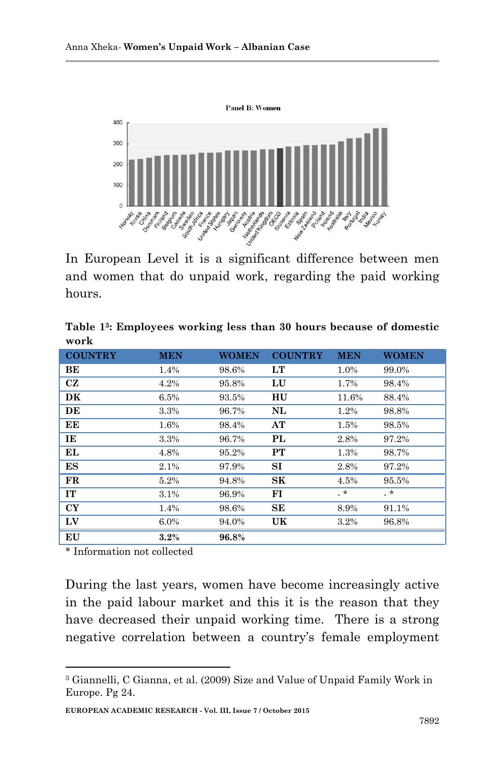

In European Level it is a significant difference between men and women that do unpaid work, regarding the paid working hours.

| Table 1 <sup>3</sup> : Employees working less than 30 hours because of domestic |  |  |  |  |
|---------------------------------------------------------------------------------|--|--|--|--|
| work                                                                            |  |  |  |  |

| <b>COUNTRY</b> | <b>MEN</b> | <b>WOMEN</b> | <b>COUNTRY</b> | <b>MEN</b> | <b>WOMEN</b> |
|----------------|------------|--------------|----------------|------------|--------------|
| ВE             | 1.4%       | 98.6%        | LT             | 1.0%       | 99.0%        |
| <b>CZ</b>      | 4.2%       | 95.8%        | LU             | 1.7%       | 98.4%        |
| DK             | 6.5%       | 93.5%        | HU             | 11.6%      | 88.4%        |
| DE             | 3.3%       | 96.7%        | NL             | 1.2%       | 98.8%        |
| EЕ             | 1.6%       | 98.4%        | AT             | 1.5%       | 98.5%        |
| IE             | 3.3%       | 96.7%        | PL             | 2.8%       | 97.2%        |
| EL             | 4.8%       | 95.2%        | PT             | 1.3%       | 98.7%        |
| $_{ES}$        | 2.1%       | 97.9%        | $_{\rm SI}$    | 2.8%       | 97.2%        |
| FR             | 5.2%       | 94.8%        | ${\rm SK}$     | 4.5%       | 95.5%        |
| IT             | 3.1%       | 96.9%        | FI             | .∗         | .∗           |
| <b>CY</b>      | 1.4%       | 98.6%        | SE             | 8.9%       | 91.1%        |
| LV             | $6.0\%$    | 94.0%        | UK             | 3.2%       | 96.8%        |
| EU             | 3.2%       | 96.8%        |                |            |              |

\* Information not collected

1

During the last years, women have become increasingly active in the paid labour market and this it is the reason that they have decreased their unpaid working time. There is a strong negative correlation between a country's female employment

<sup>3</sup> Giannelli, C Gianna, et al. (2009) Size and Value of Unpaid Family Work in Europe. Pg 24.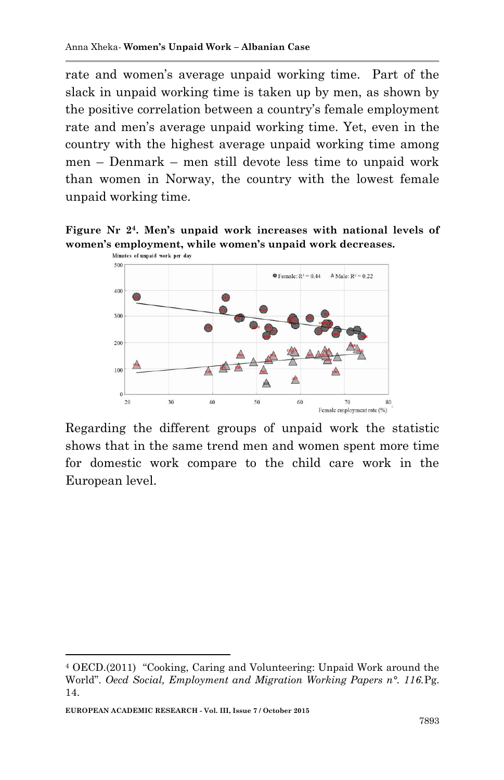rate and women's average unpaid working time. Part of the slack in unpaid working time is taken up by men, as shown by the positive correlation between a country's female employment rate and men's average unpaid working time. Yet, even in the country with the highest average unpaid working time among men – Denmark – men still devote less time to unpaid work than women in Norway, the country with the lowest female unpaid working time.

**Figure Nr 2<sup>4</sup>. Men's unpaid work increases with national levels of women's employment, while women's unpaid work decreases.**



Regarding the different groups of unpaid work the statistic shows that in the same trend men and women spent more time for domestic work compare to the child care work in the European level.

**EUROPEAN ACADEMIC RESEARCH - Vol. III, Issue 7 / October 2015**

1

<sup>4</sup> OECD.(2011) "Cooking, Caring and Volunteering: Unpaid Work around the World". *Oecd Social, Employment and Migration Working Papers n°. 116.*Pg. 14.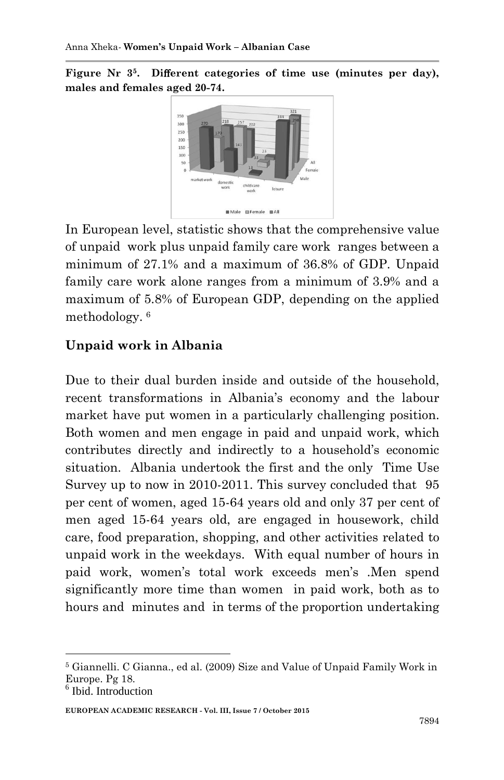**Figure Nr 3<sup>5</sup>. Di**ff**erent categories of time use (minutes per day), males and females aged 20-74.** 



In European level, statistic shows that the comprehensive value of unpaid work plus unpaid family care work ranges between a minimum of 27.1% and a maximum of 36.8% of GDP. Unpaid family care work alone ranges from a minimum of 3.9% and a maximum of 5.8% of European GDP, depending on the applied methodology. <sup>6</sup>

## **Unpaid work in Albania**

Due to their dual burden inside and outside of the household, recent transformations in Albania's economy and the labour market have put women in a particularly challenging position. Both women and men engage in paid and unpaid work, which contributes directly and indirectly to a household's economic situation. Albania undertook the first and the only Time Use Survey up to now in 2010-2011. This survey concluded that 95 per cent of women, aged 15-64 years old and only 37 per cent of men aged 15-64 years old, are engaged in housework, child care, food preparation, shopping, and other activities related to unpaid work in the weekdays. With equal number of hours in paid work, women's total work exceeds men's .Men spend significantly more time than women in paid work, both as to hours and minutes and in terms of the proportion undertaking

1

**EUROPEAN ACADEMIC RESEARCH - Vol. III, Issue 7 / October 2015**

<sup>5</sup> Giannelli. C Gianna., ed al. (2009) Size and Value of Unpaid Family Work in Europe. Pg 18.

<sup>&</sup>lt;sup>6</sup> Ibid. Introduction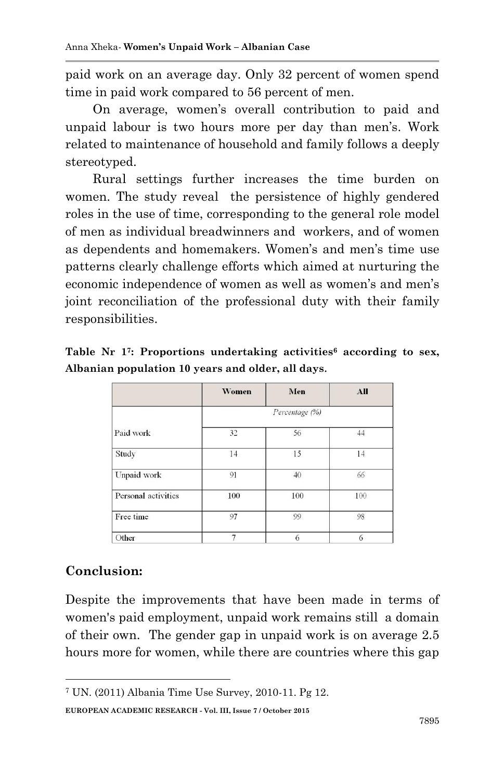paid work on an average day. Only 32 percent of women spend time in paid work compared to 56 percent of men.

On average, women's overall contribution to paid and unpaid labour is two hours more per day than men's. Work related to maintenance of household and family follows a deeply stereotyped.

Rural settings further increases the time burden on women. The study reveal the persistence of highly gendered roles in the use of time, corresponding to the general role model of men as individual breadwinners and workers, and of women as dependents and homemakers. Women's and men's time use patterns clearly challenge efforts which aimed at nurturing the economic independence of women as well as women's and men's joint reconciliation of the professional duty with their family responsibilities.

|                                                   |  |  |  | Table Nr 1 <sup>7</sup> : Proportions undertaking activities <sup>6</sup> according to sex, |  |  |  |  |
|---------------------------------------------------|--|--|--|---------------------------------------------------------------------------------------------|--|--|--|--|
| Albanian population 10 years and older, all days. |  |  |  |                                                                                             |  |  |  |  |

|                     | <b>Women</b>   | Men | All |  |  |
|---------------------|----------------|-----|-----|--|--|
|                     | Percentage (%) |     |     |  |  |
| Paid work           | 32             | 56  | 44  |  |  |
| Study               | 14             | 15  | 14  |  |  |
| Unpaid work         | 91             | 40  | 66  |  |  |
| Personal activities | 100            | 100 | 100 |  |  |
| Free time           | 97             | 99  | 98  |  |  |
| Other               | 7              | 6   | 6   |  |  |

### **Conclusion:**

**.** 

Despite the improvements that have been made in terms of women's paid employment, unpaid work remains still a domain of their own. The gender gap in unpaid work is on average 2.5 hours more for women, while there are countries where this gap

**EUROPEAN ACADEMIC RESEARCH - Vol. III, Issue 7 / October 2015**

<sup>7</sup> UN. (2011) Albania Time Use Survey, 2010-11. Pg 12.